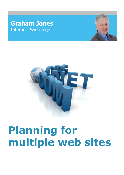## **Graham Jones** Internet Psychologist





# **Planning for multiple web sites**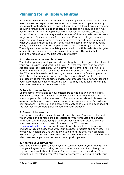### **Planning for multiple web sites**

A multiple web site strategy can help many companies achieve more online. Most businesses target more than one kind of customer. If your company has a single web site trying to reach all your different target groups, you end up with a rather general site that actually appeals to no-one. The only way out of this is to have multiple web sites focused on specific targets and niches. Furthermore, you may need a number of different web sites for each target group, focused on specific outcomes. Few people linger on a web page for long. If your potential customers have to spend time working out what you expect them to do, or if they have to search for what they really want, you will lose them to competing web sites that offer greater clarity. The only way you can be completely clear is with multiple web sites, targeted at specific outcomes for each particular niche group. This guide helps you plan and organise your multiple web site strategy.

#### **1. Understand your own business**

The first step in any multiple web site strategy is to take a good, hard look at your own business and work out EXACTLY what you offer and to which specific kind of customers. Don't simply say something like "we are accountants who offer a full service to small businesses". Instead say things like "We provide weekly bookkeeping for sole traders" or "We complete the VAT returns for companies who use cash flow reporting". In other words, look closely at the very specific services and products you offer and describe your customers for each of those exactly. You may find it easier to compile your information in a spreadsheet table.

#### **2. Talk to your customers**

Spend some time talking to your customers to find out two things. Firstly you want to know what specific products and services they most value from your company. Secondly, you need to find out what words and phrases they associate with your business, your products and your services. Record your conversations, if possible, and analyse the content so you get a good idea of the way your customers perceive you and your products.

#### **3. Research keywords**

The Internet is indexed using keywords and phrases. You need to find out which words and phrases are appropriate for your products and services. With your own understanding of your business and your discussions with your customers (steps 1 and 2 above) use Wordtracker ([www.wordtracker.com\)](http://www.wordtracker.com) to find keywords which people type into search engines which are associated with your business, products and services. The words your customers use will be invaluable here, as they may associate words with your business that other people also type into search engines and which are words you may not have come up with yourself.

#### **4. Analyse your keywords**

Once you have completed your keyword research, look at your findings and sort your keywords according to your products and services. Group the keywords and rank them in terms of value to you - and the extent of the competition (revealed in your Wordtracker research). Looking through your

© Graham Jones 2009 Page 2 www.grahamjones.co.uk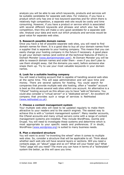analysis you will be able to see which keywords, products and services will be suitable candidates for separate web sites. For instance, if you have a product which only has one or two keyword searches and for which there is relatively high competition, a separate web site would be costly and time consuming. However, if you have a product or service which is associated with several different keywords and phrases and which also has little competition, then this will make a very good candidate for a separate web site. Analyse your data and work out which products and services would be good value for separate web sites.

#### **5. Research possible domain names**

Once you have a list of possible separate web sites, you will need to find domain names for them. It is a good idea to buy all your domain names from a supplier that is separate to your hosting company. This means that you can easily change your hosting company in the future if necessary. A good place to get your domain names (and control all the technical features of them) is Domain Monster ([www.domainmonster.com\)](http://www.domainmonster.com). At Domain Monster you will be able to research domain names and order them - even if you don't plan to use them straight away. Get the domains you want, before someone else snaps them up. Try to use your most valuable keywords in your domain names.

#### **6. Look for a suitable hosting company**

You will need a hosting account that is capable of handling several web sites at the same time. This will ease administration and will save time and money. There are several options for hosting. You could search for companies that provide multiple web site hosting; often a "reseller" account is best as this allows several web sites within one account. An alternative is a "CPanel" hosting account as this allows you to have "add-on"domains. You could also consider a "virtual server" or a "dedicated server". An excellent UK company that provides such a range of services is NetHosted ([www.nethosted.co.uk](http://www.nethosted.co.uk)).

#### **7. Choose a content management system**

Your multiple web sites will need to be updated regularly to make them attractive to your readers and to the search engines. The easiest way to achieve this is with a "content management system". Many reseller accounts, the CPanel accounts and many virtual servers come with a range of content management systems pre-installed. They include WordPress, Joomla and Drupal. You will need to investigate these systems and determine which is most appropriate to your specific needs and preferences. If in doubt, WordPress ([www.wordpress.org\)](http://www.wordpress.org) is suited to many business needs.

#### **8. Plan a standard structure**

You will want to avoid "re-inventing the wheel" when it comes to multiple web sites. So, consider a structure that will be applicable to all. Think about whether each web site will have several layers or sections. Will you need a contacts page, an "about" page and so on? What will your footer say? What "links" page will you need? The more you can have in terms of a "boilerplate" system the better, as this will save you time.

<sup>©</sup> Graham Jones 2009 Page 3 www.grahamjones.co.uk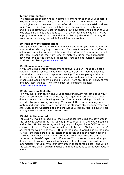#### **9. Plan your content**

The next aspect of planning is in terms of content for each of your separate web sites. What topics will each web site cover? (The keyword research should give you some clues...!) How often should you add material on these topics? A web site that is not updated regularly is of little value to people and it is less attractive to search engines. But how often should each of your web sites be changed and added to? What's right for one niche may not be appropriate for another. So, in addition to planning the kind of content, also work out a "publishing" schedule for adding new content.

#### **10. Plan content contributions**

Once you know the kind of content you want and when you want it, you can now consider who is going to produce it. This might be you, your staff or an outsourced supplier. Whoever it is, you will need to brief them properly and get them producing the right kind of material, using the appropriate keywords and to the schedule deadlines. You can find suitable content producers at Elance ([www.elance.com](http://www.elance.com)).

#### **11. Choose your design**

If you are using content management software you will need to select a suitable "theme" for your web sites. You can also get themes designed specifically to match your corporate branding. There are plenty of themes designers for each of the content management systems that can be found either using Google or by looking in Elance. There are, though, plenty of free and low cost themes from sites such as Template Monster ([www.templatemonster.com](http://www.templatemonster.com)).

#### **12. Set up your first site**

Now you have your design and your content underway you can set up your first site. Go to your domain company and adjust the settings so that your domain points to your hosting account. The details for doing this will be provided by your hosting company. Then install the content management system and your theme. Now, set up all the standard structures for your web site (such as the Contacts page and the About Us page). Also, be sure to set up any email addresses your site will need.

#### **13. Add initial content**

For your first web site, add in all the relevant content using the keywords in the following ways: in the <TITLE> tag for each page, in the <H1> headline and in the URL. For instance, let's imagine your keyword was "VAT returns completed for you". This phrase would need to be in the "behind the scenes" aspect of the web site as the <TITLE> of the page. It would also be the page H1 tag - the bold part in large letters that people see as the main headline. It would also need to be in the URL as in "www.websitename.com/vatreturns-completed-for-you.html". If you use WordPress or Joomla, then you do not need to concern yourself with such technicalities as this is all done automatically for you. With your keywords in these three places - and within the text of the page - search engines are in no doubt as to what your page is about.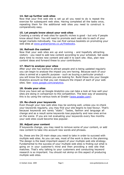#### **14. Set up further web sites**

Now that your first web site is set up all you need to do is repeat the exercise for subsequent web sites. Having completed all the tasks once, repeating them for the additional web sites you need to construct is comparatively easy.

#### **15. Let people know about your web sites**

Creating a variety of web sites for specific niches is good - but only if people know about them. You will need to promote each web site to each of your target markets individually. You can find various booklets on promoting your web sites at [www.grahamjones.co.uk/freebooks.](http://www.grahamjones.co.uk/freebooks)

#### **16. Refresh the content**

Now that your web sites are up and running - and hopefully attracting visitors - you need to add new content according to your schedule. Set aside diary time to review new content and add it to each site. Also, plan new content ideas and forward these to your contributors.

#### **17. Start to analyse your sites**

After your site has started to attract people and is being updated regularly you can begin to analyse the impact you are having. Because each of your sites is aimed at a specific purpose - such as buying a particular product you will know the outcomes you are looking for. Build these into your Google Analytics account so that you can measure the impact of each of your web sites. See: [www.google.com/analytics](http://www.google.com/analytics).

#### **18. Grade your sites**

Once you have set up Google Analytics you can take a look at how well your sites are doing in comparison to the competition. The best way of assessing this is by using the various tools at Grader [\(www.grader.com\)](http://www.grader.com).

#### **19. Re-check your keywords**

Even though your new web sites may be working well, unless you re-check your keywords regularly, you may find your site begins to lose favour. That's because keywords are rarely "static". Tastes, fashion and language all change and as a result some keywords lose popularity and new ones arrive on the scene. If you are not evaluating your keywords every few months your web sites could become less popular.

#### **20. Adjust your content**

If keywords change, you may need to remove some of your content, or add new content to take into account new words and phrases.

So, these are the 20 main steps you need to take in order to succeed with multiple web sites. As you can see, most of the work is done in the planning. The design is the least important aspect of your multiple web site strategy. Fundamental to the success of your multiple web sites is finding out what is going on in your customer's mind and then providing a web site that matches. That's why talking to your customers and conducting keyword research is so important. You should not skimp on this aspect of producing multiple web sites.